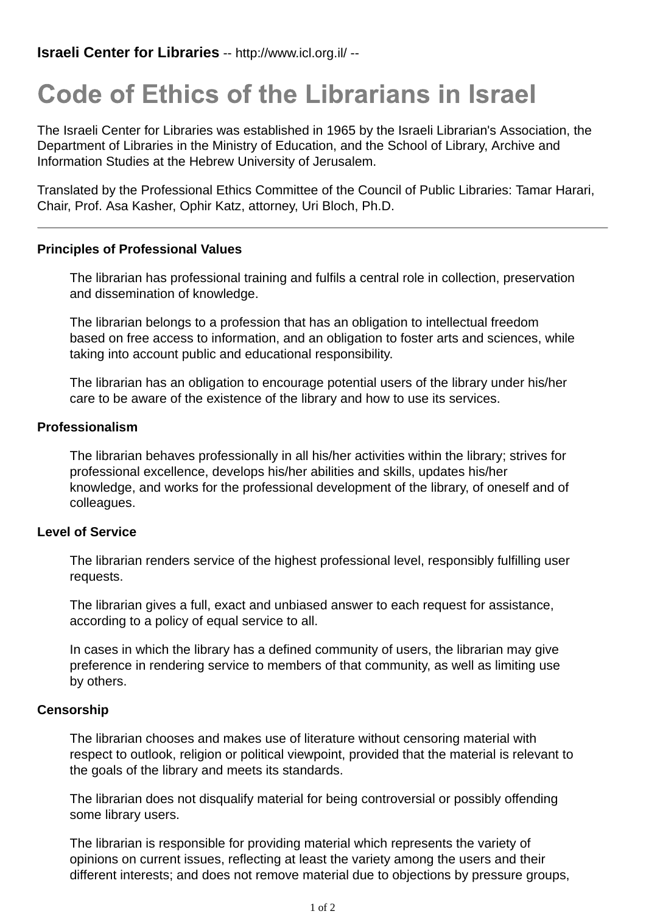# **Code of Ethics of the Librarians in Israel**

The Israeli Center for Libraries was established in 1965 by the Israeli Librarian's Association, the Department of Libraries in the Ministry of Education, and the School of Library, Archive and Information Studies at the Hebrew University of Jerusalem.

Translated by the Professional Ethics Committee of the Council of Public Libraries: Tamar Harari, Chair, Prof. Asa Kasher, Ophir Katz, attorney, Uri Bloch, Ph.D.

## **Principles of Professional Values**

The librarian has professional training and fulfils a central role in collection, preservation and dissemination of knowledge.

The librarian belongs to a profession that has an obligation to intellectual freedom based on free access to information, and an obligation to foster arts and sciences, while taking into account public and educational responsibility.

The librarian has an obligation to encourage potential users of the library under his/her care to be aware of the existence of the library and how to use its services.

## **Professionalism**

The librarian behaves professionally in all his/her activities within the library; strives for professional excellence, develops his/her abilities and skills, updates his/her knowledge, and works for the professional development of the library, of oneself and of colleagues.

### **Level of Service**

The librarian renders service of the highest professional level, responsibly fulfilling user requests.

The librarian gives a full, exact and unbiased answer to each request for assistance, according to a policy of equal service to all.

In cases in which the library has a defined community of users, the librarian may give preference in rendering service to members of that community, as well as limiting use by others.

#### **Censorship**

The librarian chooses and makes use of literature without censoring material with respect to outlook, religion or political viewpoint, provided that the material is relevant to the goals of the library and meets its standards.

The librarian does not disqualify material for being controversial or possibly offending some library users.

The librarian is responsible for providing material which represents the variety of opinions on current issues, reflecting at least the variety among the users and their different interests; and does not remove material due to objections by pressure groups,